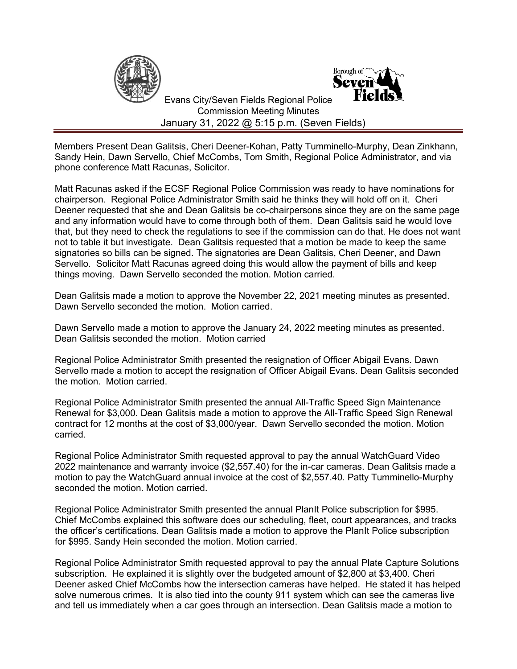



 Evans City/Seven Fields Regional Police Commission Meeting Minutes January 31, 2022 @ 5:15 p.m. (Seven Fields)

Members Present Dean Galitsis, Cheri Deener-Kohan, Patty Tumminello-Murphy, Dean Zinkhann, Sandy Hein, Dawn Servello, Chief McCombs, Tom Smith, Regional Police Administrator, and via phone conference Matt Racunas, Solicitor.

Matt Racunas asked if the ECSF Regional Police Commission was ready to have nominations for chairperson. Regional Police Administrator Smith said he thinks they will hold off on it. Cheri Deener requested that she and Dean Galitsis be co-chairpersons since they are on the same page and any information would have to come through both of them. Dean Galitsis said he would love that, but they need to check the regulations to see if the commission can do that. He does not want not to table it but investigate. Dean Galitsis requested that a motion be made to keep the same signatories so bills can be signed. The signatories are Dean Galitsis, Cheri Deener, and Dawn Servello. Solicitor Matt Racunas agreed doing this would allow the payment of bills and keep things moving. Dawn Servello seconded the motion. Motion carried.

Dean Galitsis made a motion to approve the November 22, 2021 meeting minutes as presented. Dawn Servello seconded the motion. Motion carried.

Dawn Servello made a motion to approve the January 24, 2022 meeting minutes as presented. Dean Galitsis seconded the motion. Motion carried

Regional Police Administrator Smith presented the resignation of Officer Abigail Evans. Dawn Servello made a motion to accept the resignation of Officer Abigail Evans. Dean Galitsis seconded the motion. Motion carried.

Regional Police Administrator Smith presented the annual All-Traffic Speed Sign Maintenance Renewal for \$3,000. Dean Galitsis made a motion to approve the All-Traffic Speed Sign Renewal contract for 12 months at the cost of \$3,000/year. Dawn Servello seconded the motion. Motion carried.

Regional Police Administrator Smith requested approval to pay the annual WatchGuard Video 2022 maintenance and warranty invoice (\$2,557.40) for the in-car cameras. Dean Galitsis made a motion to pay the WatchGuard annual invoice at the cost of \$2,557.40. Patty Tumminello-Murphy seconded the motion. Motion carried.

Regional Police Administrator Smith presented the annual PlanIt Police subscription for \$995. Chief McCombs explained this software does our scheduling, fleet, court appearances, and tracks the officer's certifications. Dean Galitsis made a motion to approve the PlanIt Police subscription for \$995. Sandy Hein seconded the motion. Motion carried.

Regional Police Administrator Smith requested approval to pay the annual Plate Capture Solutions subscription. He explained it is slightly over the budgeted amount of \$2,800 at \$3,400. Cheri Deener asked Chief McCombs how the intersection cameras have helped. He stated it has helped solve numerous crimes. It is also tied into the county 911 system which can see the cameras live and tell us immediately when a car goes through an intersection. Dean Galitsis made a motion to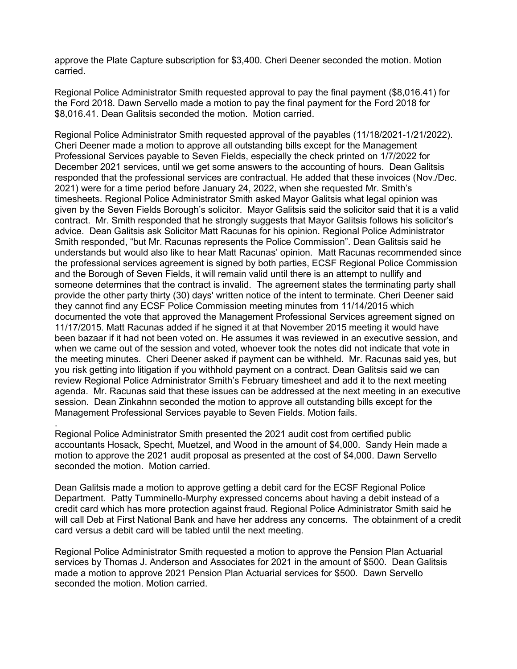approve the Plate Capture subscription for \$3,400. Cheri Deener seconded the motion. Motion carried.

Regional Police Administrator Smith requested approval to pay the final payment (\$8,016.41) for the Ford 2018. Dawn Servello made a motion to pay the final payment for the Ford 2018 for \$8,016.41. Dean Galitsis seconded the motion. Motion carried.

Regional Police Administrator Smith requested approval of the payables (11/18/2021-1/21/2022). Cheri Deener made a motion to approve all outstanding bills except for the Management Professional Services payable to Seven Fields, especially the check printed on 1/7/2022 for December 2021 services, until we get some answers to the accounting of hours. Dean Galitsis responded that the professional services are contractual. He added that these invoices (Nov./Dec. 2021) were for a time period before January 24, 2022, when she requested Mr. Smith's timesheets. Regional Police Administrator Smith asked Mayor Galitsis what legal opinion was given by the Seven Fields Borough's solicitor. Mayor Galitsis said the solicitor said that it is a valid contract. Mr. Smith responded that he strongly suggests that Mayor Galitsis follows his solicitor's advice. Dean Galitsis ask Solicitor Matt Racunas for his opinion. Regional Police Administrator Smith responded, "but Mr. Racunas represents the Police Commission". Dean Galitsis said he understands but would also like to hear Matt Racunas' opinion. Matt Racunas recommended since the professional services agreement is signed by both parties, ECSF Regional Police Commission and the Borough of Seven Fields, it will remain valid until there is an attempt to nullify and someone determines that the contract is invalid. The agreement states the terminating party shall provide the other party thirty (30) days' written notice of the intent to terminate. Cheri Deener said they cannot find any ECSF Police Commission meeting minutes from 11/14/2015 which documented the vote that approved the Management Professional Services agreement signed on 11/17/2015. Matt Racunas added if he signed it at that November 2015 meeting it would have been bazaar if it had not been voted on. He assumes it was reviewed in an executive session, and when we came out of the session and voted, whoever took the notes did not indicate that vote in the meeting minutes. Cheri Deener asked if payment can be withheld. Mr. Racunas said yes, but you risk getting into litigation if you withhold payment on a contract. Dean Galitsis said we can review Regional Police Administrator Smith's February timesheet and add it to the next meeting agenda. Mr. Racunas said that these issues can be addressed at the next meeting in an executive session. Dean Zinkahnn seconded the motion to approve all outstanding bills except for the Management Professional Services payable to Seven Fields. Motion fails.

Regional Police Administrator Smith presented the 2021 audit cost from certified public accountants Hosack, Specht, Muetzel, and Wood in the amount of \$4,000. Sandy Hein made a motion to approve the 2021 audit proposal as presented at the cost of \$4,000. Dawn Servello seconded the motion. Motion carried.

.

Dean Galitsis made a motion to approve getting a debit card for the ECSF Regional Police Department. Patty Tumminello-Murphy expressed concerns about having a debit instead of a credit card which has more protection against fraud. Regional Police Administrator Smith said he will call Deb at First National Bank and have her address any concerns. The obtainment of a credit card versus a debit card will be tabled until the next meeting.

Regional Police Administrator Smith requested a motion to approve the Pension Plan Actuarial services by Thomas J. Anderson and Associates for 2021 in the amount of \$500. Dean Galitsis made a motion to approve 2021 Pension Plan Actuarial services for \$500. Dawn Servello seconded the motion. Motion carried.